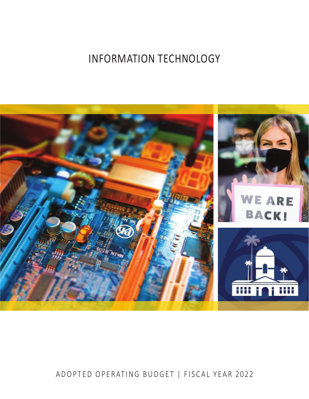# INFORMATION TECHNOLOGY



## ADOPTED OPERATING BUDGET | FISCAL YEAR 2022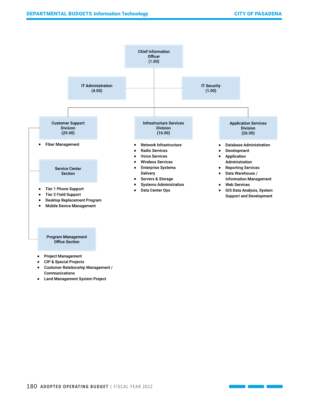

#### **Project Management** ●

- **CIP & Special Projects** ●
- **Customer Relationship Management /** ● Communications
- Land Management System Project ●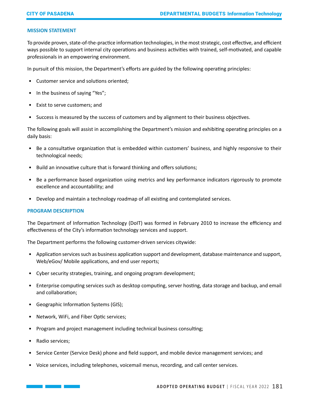#### **MISSION STATEMENT**

To provide proven, state-of-the-practice information technologies, in the most strategic, cost effective, and efficient ways possible to support internal city operations and business activities with trained, self-motivated, and capable professionals in an empowering environment.

In pursuit of this mission, the Department's efforts are guided by the following operating principles:

- Customer service and solutions oriented;
- In the business of saying "Yes";
- Exist to serve customers; and
- Success is measured by the success of customers and by alignment to their business objectives.

The following goals will assist in accomplishing the Department's mission and exhibiting operating principles on a daily basis:

- Be a consultative organization that is embedded within customers' business, and highly responsive to their technological needs;
- Build an innovative culture that is forward thinking and offers solutions;
- Be a performance based organization using metrics and key performance indicators rigorously to promote excellence and accountability; and
- Develop and maintain a technology roadmap of all existing and contemplated services.

#### **PROGRAM DESCRIPTION**

The Department of Information Technology (DoIT) was formed in February 2010 to increase the efficiency and effectiveness of the City's information technology services and support.

The Department performs the following customer-driven services citywide:

- Application services such as business application support and development, database maintenance and support, Web/eGov/ Mobile applications, and end user reports;
- Cyber security strategies, training, and ongoing program development;
- Enterprise computing services such as desktop computing, server hosting, data storage and backup, and email and collaboration;
- Geographic Information Systems (GIS);
- Network, WiFi, and Fiber Optic services;
- Program and project management including technical business consulting;
- Radio services;
- Service Center (Service Desk) phone and field support, and mobile device management services; and
- Voice services, including telephones, voicemail menus, recording, and call center services.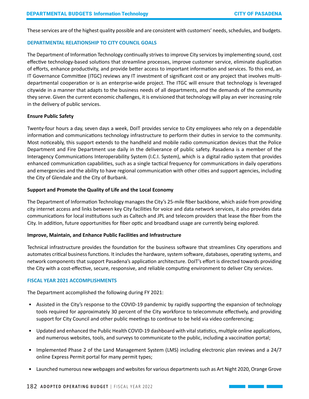These services are of the highest quality possible and are consistent with customers' needs, schedules, and budgets.

#### **DEPARTMENTAL RELATIONSHIP TO CITY COUNCIL GOALS**

The Department of Information Technology continually strives to improve City services by implementing sound, cost effective technology-based solutions that streamline processes, improve customer service, eliminate duplication of efforts, enhance productivity, and provide better access to important information and services. To this end, an IT Governance Committee (ITGC) reviews any IT investment of significant cost or any project that involves multidepartmental cooperation or is an enterprise-wide project. The ITGC will ensure that technology is leveraged citywide in a manner that adapts to the business needs of all departments, and the demands of the community they serve. Given the current economic challenges, it is envisioned that technology will play an ever increasing role in the delivery of public services.

#### **Ensure Public Safety**

Twenty-four hours a day, seven days a week, DoIT provides service to City employees who rely on a dependable information and communications technology infrastructure to perform their duties in service to the community. Most noticeably, this support extends to the handheld and mobile radio communication devices that the Police Department and Fire Department use daily in the deliverance of public safety. Pasadena is a member of the Interagency Communications Interoperability System (I.C.I. System), which is a digital radio system that provides enhanced communication capabilities, such as a single tactical frequency for communications in daily operations and emergencies and the ability to have regional communication with other cities and support agencies, including the City of Glendale and the City of Burbank.

#### **Support and Promote the Quality of Life and the Local Economy**

The Department of Information Technology manages the City's 25-mile fiber backbone, which aside from providing city internet access and links between key City facilities for voice and data network services, it also provides data communications for local institutions such as Caltech and JPL and telecom providers that lease the fiber from the City. In addition, future opportunities for fiber optic and broadband usage are currently being explored.

#### **Improve, Maintain, and Enhance Public Facilities and Infrastructure**

Technical infrastructure provides the foundation for the business software that streamlines City operations and automates critical business functions. It includes the hardware, system software, databases, operating systems, and network components that support Pasadena's application architecture. DoIT's effort is directed towards providing the City with a cost-effective, secure, responsive, and reliable computing environment to deliver City services.

#### **FISCAL YEAR 2021 ACCOMPLISHMENTS**

The Department accomplished the following during FY 2021:

- Assisted in the City's response to the COVID-19 pandemic by rapidly supporting the expansion of technology tools required for approximately 30 percent of the City workforce to telecommute effectively, and providing support for City Council and other public meetings to continue to be held via video conferencing;
- Updated and enhanced the Public Health COVID-19 dashboard with vital statistics, multiple online applications, and numerous websites, tools, and surveys to communicate to the public, including a vaccination portal;
- Implemented Phase 2 of the Land Management System (LMS) including electronic plan reviews and a 24/7 online Express Permit portal for many permit types;
- Launched numerous new webpages and websites for various departments such as Art Night 2020, Orange Grove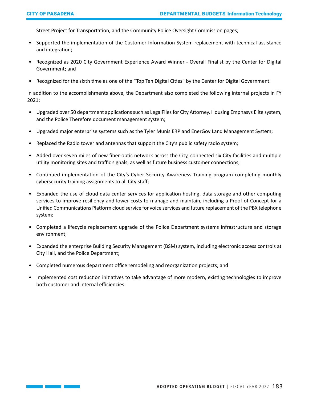Street Project for Transportation, and the Community Police Oversight Commission pages;

- Supported the implementation of the Customer Information System replacement with technical assistance and integration;
- Recognized as 2020 City Government Experience Award Winner Overall Finalist by the Center for Digital Government; and
- Recognized for the sixth time as one of the "Top Ten Digital Cities" by the Center for Digital Government.

In addition to the accomplishments above, the Department also completed the following internal projects in FY 2021:

- Upgraded over 50 department applications such as LegalFiles for City Attorney, Housing Emphasys Elite system, and the Police Therefore document management system;
- Upgraded major enterprise systems such as the Tyler Munis ERP and EnerGov Land Management System;
- Replaced the Radio tower and antennas that support the City's public safety radio system;
- Added over seven miles of new fiber-optic network across the City, connected six City facilities and multiple utility monitoring sites and traffic signals, as well as future business customer connections;
- Continued implementation of the City's Cyber Security Awareness Training program completing monthly cybersecurity training assignments to all City staff;
- Expanded the use of cloud data center services for application hosting, data storage and other computing services to improve resiliency and lower costs to manage and maintain, including a Proof of Concept for a Unified Communications Platform cloud service for voice services and future replacement of the PBX telephone system;
- Completed a lifecycle replacement upgrade of the Police Department systems infrastructure and storage environment;
- Expanded the enterprise Building Security Management (BSM) system, including electronic access controls at City Hall, and the Police Department;
- Completed numerous department office remodeling and reorganization projects; and
- Implemented cost reduction initiatives to take advantage of more modern, existing technologies to improve both customer and internal efficiencies.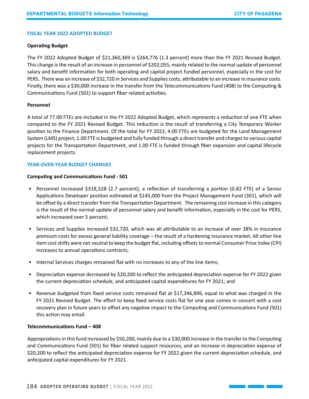#### **FISCAL YEAR 2022 ADOPTED BUDGET**

#### **Operating Budget**

The FY 2022 Adopted Budget of \$21,360,369 is \$264,776 (1.3 percent) more than the FY 2021 Revised Budget. This change is the result of an increase in personnel of \$202,055, mainly related to the normal update of personnel salary and benefit information for both operating and capital project funded personnel, especially in the cost for PERS. There was an increase of \$32,720 in Services and Supplies costs, attributable to an increase in insurance costs. Finally, there was a \$30,000 increase in the transfer from the Telecommunications Fund (408) to the Computing & Communications Fund (501) to support fiber related activities.

#### **Personnel**

A total of 77.00 FTEs are included in the FY 2022 Adopted Budget, which represents a reduction of one FTE when compared to the FY 2021 Revised Budget. This reduction is the result of transferring a City Temporary Worker position to the Finance Department. Of the total for FY 2022, 4.00 FTEs are budgeted for the Land Management System (LMS) project, 1.00 FTE is budgeted and fully funded through a direct transfer and charges to various capital projects for the Transportation Department, and 1.00 FTE is funded through fiber expansion and capital lifecycle replacement projects.

#### **YEAR-OVER-YEAR BUDGET CHANGES**

#### **Computing and Communications Fund - 501**

- Personnel increased \$318,328 (2.7 percent), a reflection of transferring a portion (0.82 FTE) of a Senior Applications Developer position estimated at \$145,000 from the Project Management Fund (301), which will be offset by a direct transfer from the Transportation Department. The remaining cost increase in this category is the result of the normal update of personnel salary and benefit information, especially in the cost for PERS, which increased over 5 percent;
- Services and Supplies increased \$32,720, which was all attributable to an increase of over 38% in insurance premium costs for excess general liability coverage – the result of a hardening insurance market. All other line item cost shifts were net neutral to keep the budget flat, including offsets to normal Consumer Price Index (CPI) increases to annual operations contracts;
- Internal Services charges remained flat with no increases to any of the line items;
- Depreciation expense decreased by \$20,200 to reflect the anticipated depreciation expense for FY 2022 given the current depreciation schedule, and anticipated capital expenditures for FY 2021; and
- Revenue budgeted from fixed service costs remained flat at \$17,346,896, equal to what was charged in the FY 2021 Revised Budget. The effort to keep fixed service costs flat for one year comes in concert with a cost recovery plan in future years to offset any negative impact to the Computing and Communications Fund (501) this action may entail.

#### **Telecommunications Fund – 408**

Appropriations in this fund increased by \$50,200, mainly due to a \$30,000 increase in the transfer to the Computing and Communications Fund (501) for fiber related support resources, and an increase in depreciation expense of \$20,200 to reflect the anticipated depreciation expense for FY 2022 given the current depreciation schedule, and anticipated capital expenditures for FY 2021.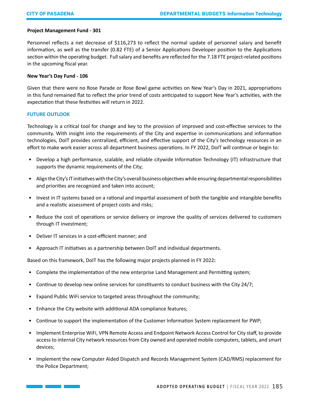#### **Project Management Fund - 301**

Personnel reflects a net decrease of \$116,273 to reflect the normal update of personnel salary and benefit information, as well as the transfer (0.82 FTE) of a Senior Applications Developer position to the Applications section within the operating budget. Full salary and benefits are reflected for the 7.18 FTE project-related positions in the upcoming fiscal year.

#### **New Year's Day Fund - 106**

Given that there were no Rose Parade or Rose Bowl game activities on New Year's Day in 2021, appropriations in this fund remained flat to reflect the prior trend of costs anticipated to support New Year's activities, with the expectation that these festivities will return in 2022.

#### **FUTURE OUTLOOK**

Technology is a critical tool for change and key to the provision of improved and cost-effective services to the community. With insight into the requirements of the City and expertise in communications and information technologies, DoIT provides centralized, efficient, and effective support of the City's technology resources in an effort to make work easier across all department business operations. In FY 2022, DoIT will continue or begin to:

- Develop a high performance, scalable, and reliable citywide Information Technology (IT) infrastructure that supports the dynamic requirements of the City;
- Align the City's IT initiatives with the City's overall business objectives while ensuring departmental responsibilities and priorities are recognized and taken into account;
- Invest in IT systems based on a rational and impartial assessment of both the tangible and intangible benefits and a realistic assessment of project costs and risks;
- Reduce the cost of operations or service delivery or improve the quality of services delivered to customers through IT investment;
- Deliver IT services in a cost-efficient manner; and
- Approach IT initiatives as a partnership between DoIT and individual departments.

Based on this framework, DoIT has the following major projects planned in FY 2022**:** 

- Complete the implementation of the new enterprise Land Management and Permitting system;
- Continue to develop new online services for constituents to conduct business with the City 24/7;
- Expand Public WiFi service to targeted areas throughout the community;
- Enhance the City website with additional ADA compliance features;
- Continue to support the implementation of the Customer Information System replacement for PWP;
- Implement Enterprise WiFi, VPN Remote Access and Endpoint Network Access Control for City staff, to provide access to internal City network resources from City owned and operated mobile computers, tablets, and smart devices;
- Implement the new Computer Aided Dispatch and Records Management System (CAD/RMS) replacement for the Police Department;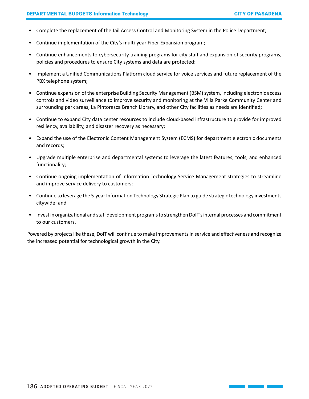- Complete the replacement of the Jail Access Control and Monitoring System in the Police Department;
- Continue implementation of the City's multi-year Fiber Expansion program;
- Continue enhancements to cybersecurity training programs for city staff and expansion of security programs, policies and procedures to ensure City systems and data are protected;
- Implement a Unified Communications Platform cloud service for voice services and future replacement of the PBX telephone system;
- Continue expansion of the enterprise Building Security Management (BSM) system, including electronic access controls and video surveillance to improve security and monitoring at the Villa Parke Community Center and surrounding park areas, La Pintoresca Branch Library, and other City facilities as needs are identified;
- Continue to expand City data center resources to include cloud-based infrastructure to provide for improved resiliency, availability, and disaster recovery as necessary;
- Expand the use of the Electronic Content Management System (ECMS) for department electronic documents and records;
- Upgrade multiple enterprise and departmental systems to leverage the latest features, tools, and enhanced functionality;
- Continue ongoing implementation of Information Technology Service Management strategies to streamline and improve service delivery to customers;
- Continue to leverage the 5-year Information Technology Strategic Plan to guide strategic technology investments citywide; and
- Invest in organizational and staff development programs to strengthen DoIT's internal processes and commitment to our customers.

Powered by projects like these, DoIT will continue to make improvements in service and effectiveness and recognize the increased potential for technological growth in the City.